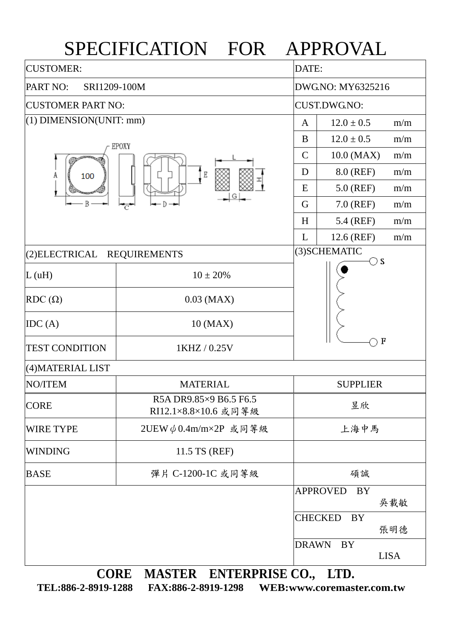## SPECIFICATION FOR APPROVAL

| <b>CUSTOMER:</b>                      | DATE:                                          |                                   |  |  |  |  |
|---------------------------------------|------------------------------------------------|-----------------------------------|--|--|--|--|
| PART NO:<br>SRI1209-100M              | DWG.NO: MY6325216                              |                                   |  |  |  |  |
| <b>CUSTOMER PART NO:</b>              | <b>CUST.DWG.NO:</b>                            |                                   |  |  |  |  |
| $(1)$ DIMENSION(UNIT: mm)             | $12.0 \pm 0.5$<br>m/m<br>A                     |                                   |  |  |  |  |
|                                       | EPOXY                                          | $12.0 \pm 0.5$<br>B<br>m/m        |  |  |  |  |
|                                       | 10.0 (MAX)<br>$\mathsf{C}$<br>m/m              |                                   |  |  |  |  |
| A<br>100                              | 8.0 (REF)<br>m/m<br>D                          |                                   |  |  |  |  |
|                                       | $5.0$ (REF)<br>m/m<br>E                        |                                   |  |  |  |  |
| B                                     |                                                | 7.0 (REF)<br>G<br>m/m             |  |  |  |  |
|                                       |                                                | 5.4 (REF)<br>m/m<br>H             |  |  |  |  |
|                                       |                                                | L<br>12.6 (REF)<br>m/m            |  |  |  |  |
| (2) ELECTRICAL<br><b>REQUIREMENTS</b> | (3) SCHEMATIC<br>$\bigcirc$ s                  |                                   |  |  |  |  |
| L(uH)                                 | $10 \pm 20%$                                   |                                   |  |  |  |  |
| $RDC(\Omega)$                         | $0.03$ (MAX)                                   |                                   |  |  |  |  |
| IDC(A)                                | 10 (MAX)                                       |                                   |  |  |  |  |
| <b>TEST CONDITION</b>                 | $\mathbf F$<br>1KHZ / 0.25V                    |                                   |  |  |  |  |
| (4) MATERIAL LIST                     |                                                |                                   |  |  |  |  |
| NO/ITEM                               | <b>MATERIAL</b>                                | <b>SUPPLIER</b>                   |  |  |  |  |
| <b>CORE</b>                           | R5A DR9.85×9 B6.5 F6.5<br>RI12.1×8.8×10.6 或同等級 | 昱欣                                |  |  |  |  |
| <b>WIRE TYPE</b>                      | 2UEW $\phi$ 0.4m/m×2P 或同等級                     | 上海中馬                              |  |  |  |  |
| <b>WINDING</b>                        | 11.5 TS (REF)                                  |                                   |  |  |  |  |
| <b>BASE</b>                           | 彈片 C-1200-1C 或同等級                              | 碩誠                                |  |  |  |  |
|                                       |                                                | <b>APPROVED</b><br>BY<br>吳載敏      |  |  |  |  |
|                                       |                                                | <b>CHECKED</b><br>BY<br>張明德       |  |  |  |  |
|                                       |                                                | <b>DRAWN</b><br>BY<br><b>LISA</b> |  |  |  |  |
| <b>CORE</b>                           | MASTER ENTERPRISE CO.,                         | LTD.                              |  |  |  |  |

**TEL:886-2-8919-1288 FAX:886-2-8919-1298 WEB:www.coremaster.com.tw**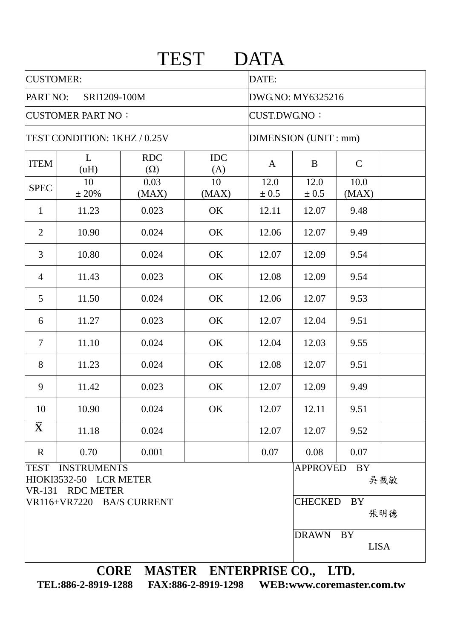|                                               |                                                                  | <b>TEST</b>              |                     | <b>DATA</b>           |                             |                   |     |  |  |
|-----------------------------------------------|------------------------------------------------------------------|--------------------------|---------------------|-----------------------|-----------------------------|-------------------|-----|--|--|
| <b>CUSTOMER:</b>                              |                                                                  |                          |                     | DATE:                 |                             |                   |     |  |  |
| PART NO:<br>SRI1209-100M                      |                                                                  |                          |                     | DWG.NO: MY6325216     |                             |                   |     |  |  |
| <b>CUSTOMER PART NO:</b>                      |                                                                  |                          | <b>CUST.DWG.NO:</b> |                       |                             |                   |     |  |  |
| TEST CONDITION: 1KHZ / 0.25V                  |                                                                  |                          |                     | DIMENSION (UNIT : mm) |                             |                   |     |  |  |
| <b>ITEM</b>                                   | L<br>(uH)                                                        | <b>RDC</b><br>$(\Omega)$ | <b>IDC</b><br>(A)   | $\mathbf{A}$          | B                           | $\mathsf{C}$      |     |  |  |
| <b>SPEC</b>                                   | 10<br>± 20%                                                      | 0.03<br>(MAX)            | 10<br>(MAX)         | 12.0<br>± 0.5         | 12.0<br>± 0.5               | 10.0<br>(MAX)     |     |  |  |
| $\mathbf{1}$                                  | 11.23                                                            | 0.023                    | OK                  | 12.11                 | 12.07                       | 9.48              |     |  |  |
| $\overline{2}$                                | 10.90                                                            | 0.024                    | OK                  | 12.06                 | 12.07                       | 9.49              |     |  |  |
| 3                                             | 10.80                                                            | 0.024                    | OK                  | 12.07                 | 12.09                       | 9.54              |     |  |  |
| $\overline{4}$                                | 11.43                                                            | 0.023                    | OK                  | 12.08                 | 12.09                       | 9.54              |     |  |  |
| 5                                             | 11.50                                                            | 0.024                    | OK                  | 12.06                 | 12.07                       | 9.53              |     |  |  |
| 6                                             | 11.27                                                            | 0.023                    | OK                  | 12.07                 | 12.04                       | 9.51              |     |  |  |
| $\overline{7}$                                | 11.10                                                            | 0.024                    | OK                  | 12.04                 | 12.03                       | 9.55              |     |  |  |
| 8                                             | 11.23                                                            | 0.024                    | OK                  | 12.08                 | 12.07                       | 9.51              |     |  |  |
| 9                                             | 11.42                                                            | 0.023                    | OK                  | 12.07                 | 12.09                       | 9.49              |     |  |  |
| 10                                            | 10.90                                                            | 0.024                    | OK                  | 12.07                 | 12.11                       | 9.51              |     |  |  |
| $\bar{\mathbf{X}}$                            | 11.18                                                            | 0.024                    |                     | 12.07                 | 12.07                       | 9.52              |     |  |  |
| $\mathbf R$                                   | 0.70                                                             | 0.001                    |                     | 0.07                  | 0.08                        | 0.07              |     |  |  |
| <b>TEST</b>                                   | <b>INSTRUMENTS</b><br>HIOKI3532-50 LCR METER<br>VR-131 RDC METER |                          |                     |                       | <b>APPROVED</b>             | <b>BY</b>         | 吳載敏 |  |  |
| VR116+VR7220 BA/S CURRENT                     |                                                                  |                          |                     |                       | <b>CHECKED</b><br>BY<br>張明德 |                   |     |  |  |
|                                               |                                                                  |                          |                     |                       | <b>DRAWN</b>                | BY<br><b>LISA</b> |     |  |  |
| $C\Omega$ DE MACTED ENTEDDDICE $C\Omega$ i th |                                                                  |                          |                     |                       |                             |                   |     |  |  |

**CORE MASTER ENTERPRISE CO., LTD. TEL:886-2-8919-1288 FAX:886-2-8919-1298 WEB:www.coremaster.com.tw**